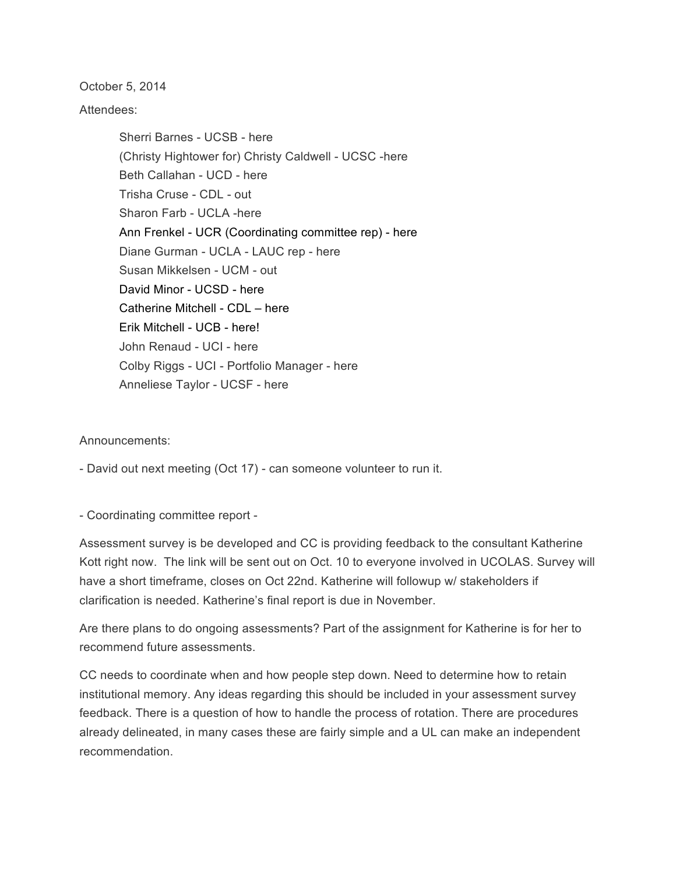October 5, 2014

Attendees:

Sherri Barnes - UCSB - here (Christy Hightower for) Christy Caldwell - UCSC -here Beth Callahan - UCD - here Trisha Cruse - CDL - out Sharon Farb - UCLA -here Ann Frenkel - UCR (Coordinating committee rep) - here Diane Gurman - UCLA - LAUC rep - here Susan Mikkelsen - UCM - out David Minor - UCSD - here Catherine Mitchell - CDL – here Erik Mitchell - UCB - here! John Renaud - UCI - here Colby Riggs - UCI - Portfolio Manager - here Anneliese Taylor - UCSF - here

## Announcements:

- David out next meeting (Oct 17) - can someone volunteer to run it.

- Coordinating committee report -

Assessment survey is be developed and CC is providing feedback to the consultant Katherine Kott right now. The link will be sent out on Oct. 10 to everyone involved in UCOLAS. Survey will have a short timeframe, closes on Oct 22nd. Katherine will followup w/ stakeholders if clarification is needed. Katherine's final report is due in November.

Are there plans to do ongoing assessments? Part of the assignment for Katherine is for her to recommend future assessments.

CC needs to coordinate when and how people step down. Need to determine how to retain institutional memory. Any ideas regarding this should be included in your assessment survey feedback. There is a question of how to handle the process of rotation. There are procedures already delineated, in many cases these are fairly simple and a UL can make an independent recommendation.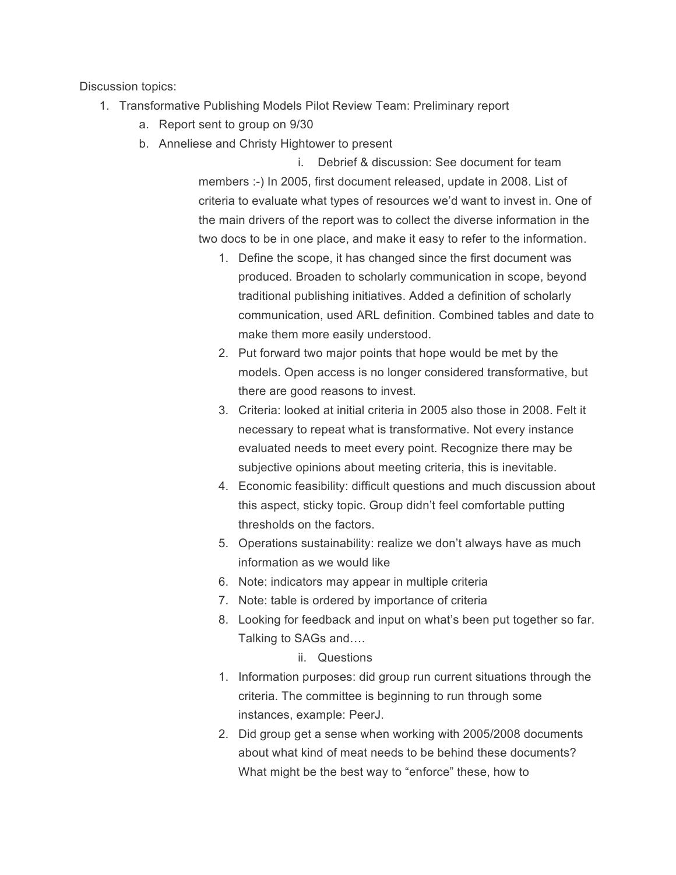Discussion topics:

- 1. Transformative Publishing Models Pilot Review Team: Preliminary report
	- a. Report sent to group on 9/30
	- b. Anneliese and Christy Hightower to present

i. Debrief & discussion: See document for team members :-) In 2005, first document released, update in 2008. List of criteria to evaluate what types of resources we'd want to invest in. One of the main drivers of the report was to collect the diverse information in the two docs to be in one place, and make it easy to refer to the information.

- 1. Define the scope, it has changed since the first document was produced. Broaden to scholarly communication in scope, beyond traditional publishing initiatives. Added a definition of scholarly communication, used ARL definition. Combined tables and date to make them more easily understood.
- 2. Put forward two major points that hope would be met by the models. Open access is no longer considered transformative, but there are good reasons to invest.
- 3. Criteria: looked at initial criteria in 2005 also those in 2008. Felt it necessary to repeat what is transformative. Not every instance evaluated needs to meet every point. Recognize there may be subjective opinions about meeting criteria, this is inevitable.
- 4. Economic feasibility: difficult questions and much discussion about this aspect, sticky topic. Group didn't feel comfortable putting thresholds on the factors.
- 5. Operations sustainability: realize we don't always have as much information as we would like
- 6. Note: indicators may appear in multiple criteria
- 7. Note: table is ordered by importance of criteria
- 8. Looking for feedback and input on what's been put together so far. Talking to SAGs and….

## ii. Questions

- 1. Information purposes: did group run current situations through the criteria. The committee is beginning to run through some instances, example: PeerJ.
- 2. Did group get a sense when working with 2005/2008 documents about what kind of meat needs to be behind these documents? What might be the best way to "enforce" these, how to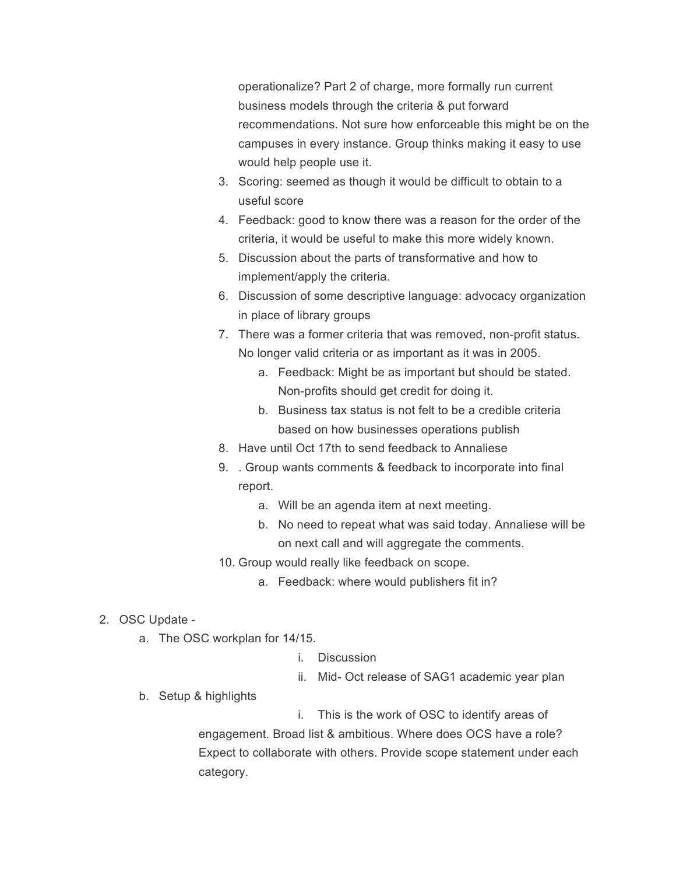operationalize? Part 2 of charge, more formally run current business models through the criteria & put forward recommendations. Not sure how enforceable this might be on the campuses in every instance. Group thinks making it easy to use would help people use it.

- 3. Scoring: seemed as though it would be difficult to obtain to a useful score
- 4. Feedback: good to know there was a reason for the order of the criteria, it would be useful to make this more widely known.
- 5. Discussion about the parts of transformative and how to implement/apply the criteria.
- 6. Discussion of some descriptive language: advocacy organization in place of library groups
- 7. There was a former criteria that was removed, non-profit status. No longer valid criteria or as important as it was in 2005.
	- a. Feedback: Might be as important but should be stated. Non-profits should get credit for doing it.
	- b. Business tax status is not felt to be a credible criteria based on how businesses operations publish
- 8. Have until Oct 17th to send feedback to Annaliese
- 9. . Group wants comments & feedback to incorporate into final report.
	- a. Will be an agenda item at next meeting.
	- b. No need to repeat what was said today. Annaliese will be on next call and will aggregate the comments.
- 10. Group would really like feedback on scope.
	- a. Feedback: where would publishers fit in?
- 2. OSC Update
	- a. The OSC workplan for 14/15.
		- i. Discussion
		- ii. Mid- Oct release of SAG1 academic year plan
	- b. Setup & highlights
- i. This is the work of OSC to identify areas of

engagement. Broad list & ambitious. Where does OCS have a role? Expect to collaborate with others. Provide scope statement under each category.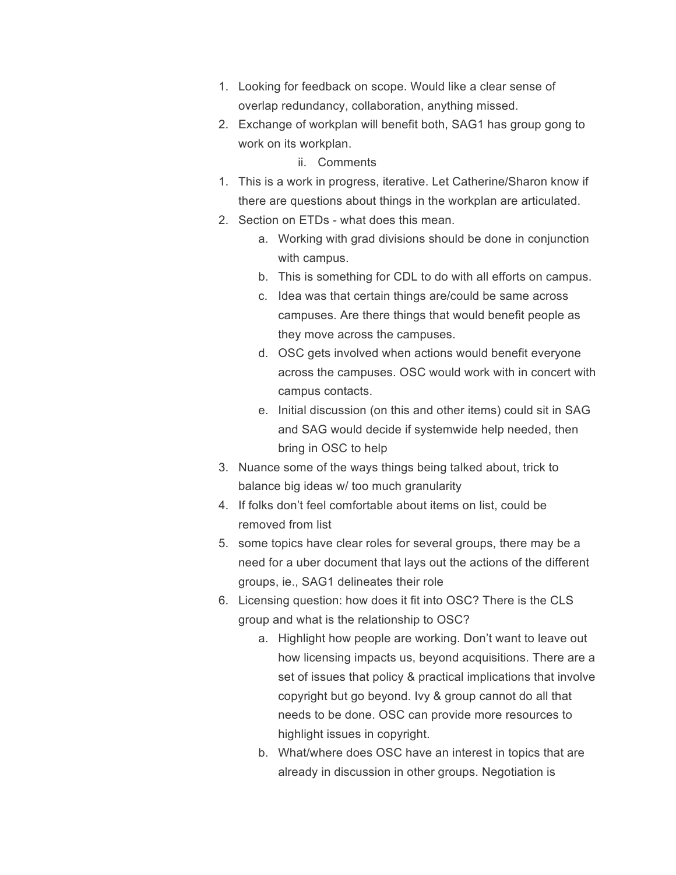- 1. Looking for feedback on scope. Would like a clear sense of overlap redundancy, collaboration, anything missed.
- 2. Exchange of workplan will benefit both, SAG1 has group gong to work on its workplan.

## ii. Comments

- 1. This is a work in progress, iterative. Let Catherine/Sharon know if there are questions about things in the workplan are articulated.
- 2. Section on ETDs what does this mean.
	- a. Working with grad divisions should be done in conjunction with campus.
	- b. This is something for CDL to do with all efforts on campus.
	- c. Idea was that certain things are/could be same across campuses. Are there things that would benefit people as they move across the campuses.
	- d. OSC gets involved when actions would benefit everyone across the campuses. OSC would work with in concert with campus contacts.
	- e. Initial discussion (on this and other items) could sit in SAG and SAG would decide if systemwide help needed, then bring in OSC to help
- 3. Nuance some of the ways things being talked about, trick to balance big ideas w/ too much granularity
- 4. If folks don't feel comfortable about items on list, could be removed from list
- 5. some topics have clear roles for several groups, there may be a need for a uber document that lays out the actions of the different groups, ie., SAG1 delineates their role
- 6. Licensing question: how does it fit into OSC? There is the CLS group and what is the relationship to OSC?
	- a. Highlight how people are working. Don't want to leave out how licensing impacts us, beyond acquisitions. There are a set of issues that policy & practical implications that involve copyright but go beyond. Ivy & group cannot do all that needs to be done. OSC can provide more resources to highlight issues in copyright.
	- b. What/where does OSC have an interest in topics that are already in discussion in other groups. Negotiation is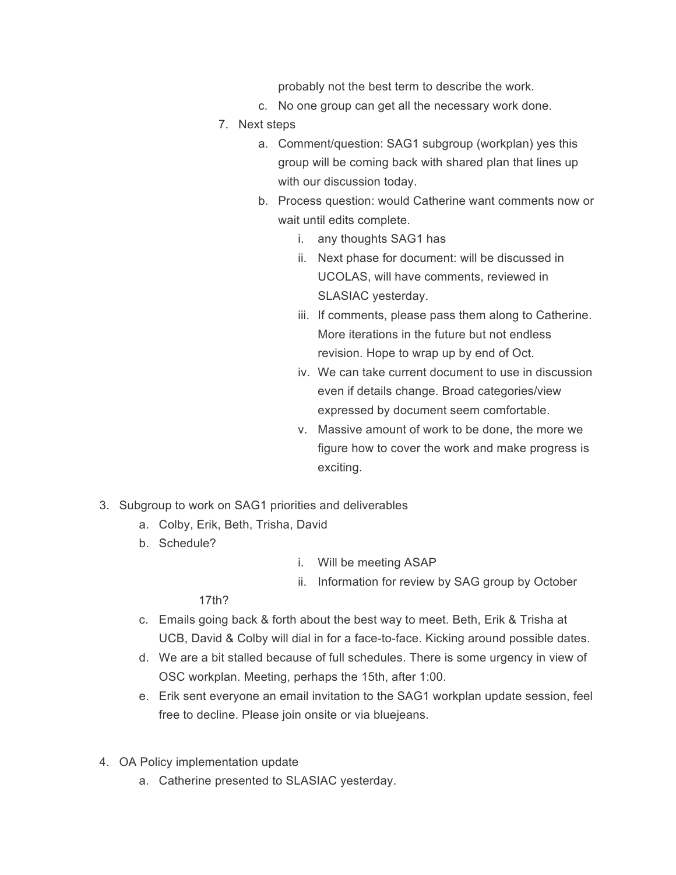probably not the best term to describe the work.

- c. No one group can get all the necessary work done.
- 7. Next steps
	- a. Comment/question: SAG1 subgroup (workplan) yes this group will be coming back with shared plan that lines up with our discussion today.
	- b. Process question: would Catherine want comments now or wait until edits complete.
		- i. any thoughts SAG1 has
		- ii. Next phase for document: will be discussed in UCOLAS, will have comments, reviewed in SLASIAC yesterday.
		- iii. If comments, please pass them along to Catherine. More iterations in the future but not endless revision. Hope to wrap up by end of Oct.
		- iv. We can take current document to use in discussion even if details change. Broad categories/view expressed by document seem comfortable.
		- v. Massive amount of work to be done, the more we figure how to cover the work and make progress is exciting.
- 3. Subgroup to work on SAG1 priorities and deliverables
	- a. Colby, Erik, Beth, Trisha, David
	- b. Schedule?
- i. Will be meeting ASAP
- ii. Information for review by SAG group by October

17th?

- c. Emails going back & forth about the best way to meet. Beth, Erik & Trisha at UCB, David & Colby will dial in for a face-to-face. Kicking around possible dates.
- d. We are a bit stalled because of full schedules. There is some urgency in view of OSC workplan. Meeting, perhaps the 15th, after 1:00.
- e. Erik sent everyone an email invitation to the SAG1 workplan update session, feel free to decline. Please join onsite or via bluejeans.
- 4. OA Policy implementation update
	- a. Catherine presented to SLASIAC yesterday.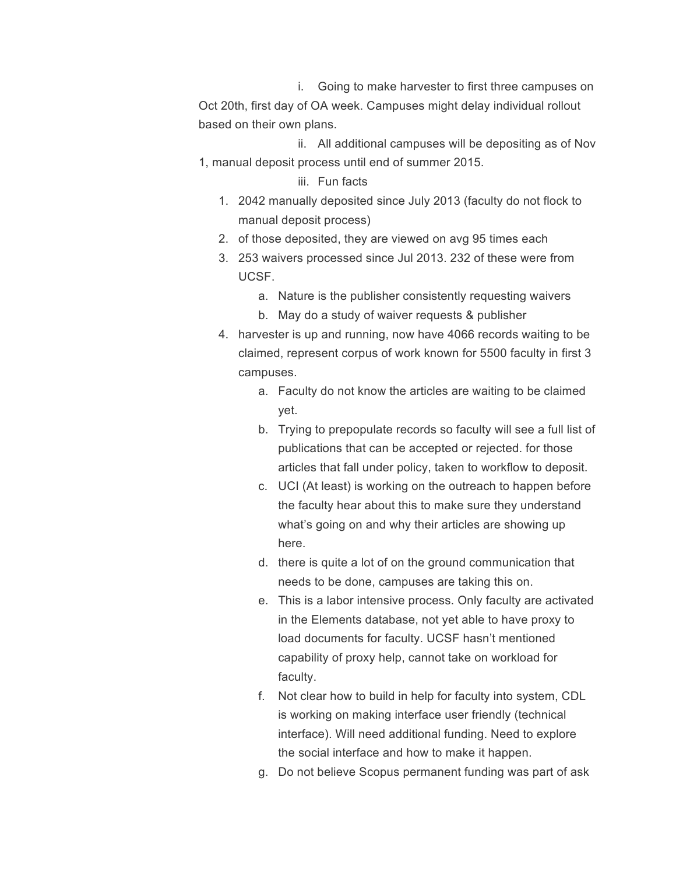i. Going to make harvester to first three campuses on Oct 20th, first day of OA week. Campuses might delay individual rollout based on their own plans.

ii. All additional campuses will be depositing as of Nov 1, manual deposit process until end of summer 2015.

## iii. Fun facts

- 1. 2042 manually deposited since July 2013 (faculty do not flock to manual deposit process)
- 2. of those deposited, they are viewed on avg 95 times each
- 3. 253 waivers processed since Jul 2013. 232 of these were from UCSF.
	- a. Nature is the publisher consistently requesting waivers
	- b. May do a study of waiver requests & publisher
- 4. harvester is up and running, now have 4066 records waiting to be claimed, represent corpus of work known for 5500 faculty in first 3 campuses.
	- a. Faculty do not know the articles are waiting to be claimed yet.
	- b. Trying to prepopulate records so faculty will see a full list of publications that can be accepted or rejected. for those articles that fall under policy, taken to workflow to deposit.
	- c. UCI (At least) is working on the outreach to happen before the faculty hear about this to make sure they understand what's going on and why their articles are showing up here.
	- d. there is quite a lot of on the ground communication that needs to be done, campuses are taking this on.
	- e. This is a labor intensive process. Only faculty are activated in the Elements database, not yet able to have proxy to load documents for faculty. UCSF hasn't mentioned capability of proxy help, cannot take on workload for faculty.
	- f. Not clear how to build in help for faculty into system, CDL is working on making interface user friendly (technical interface). Will need additional funding. Need to explore the social interface and how to make it happen.
	- g. Do not believe Scopus permanent funding was part of ask